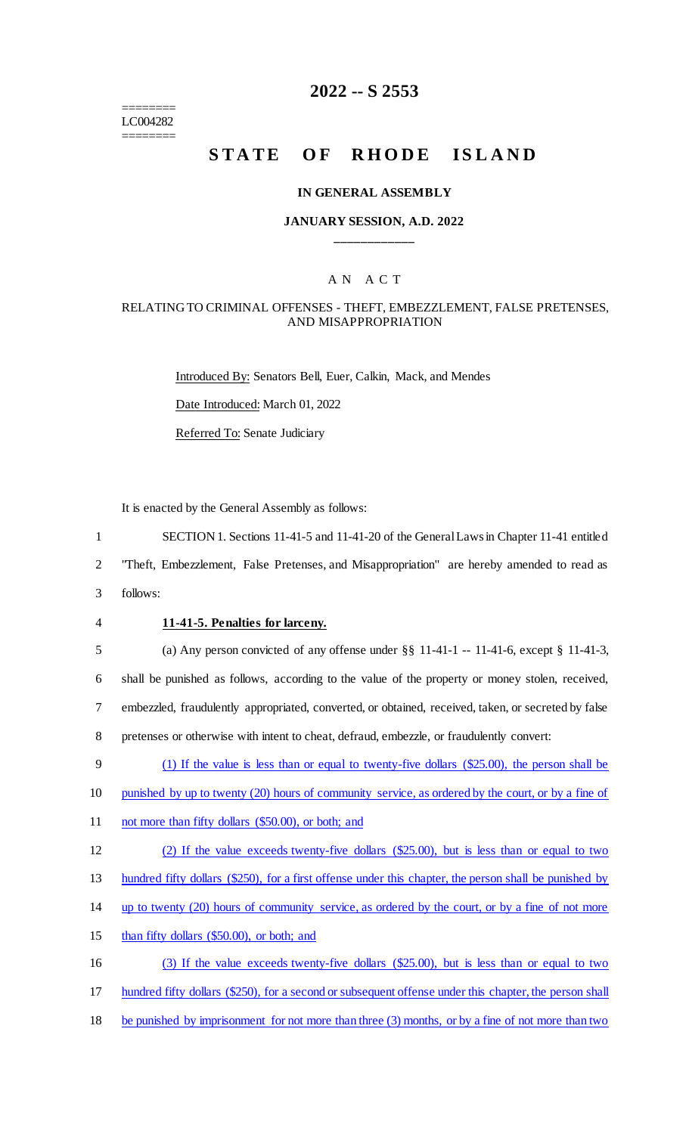======== LC004282 ========

# **2022 -- S 2553**

# STATE OF RHODE ISLAND

#### **IN GENERAL ASSEMBLY**

### **JANUARY SESSION, A.D. 2022 \_\_\_\_\_\_\_\_\_\_\_\_**

## A N A C T

#### RELATING TO CRIMINAL OFFENSES - THEFT, EMBEZZLEMENT, FALSE PRETENSES, AND MISAPPROPRIATION

Introduced By: Senators Bell, Euer, Calkin, Mack, and Mendes Date Introduced: March 01, 2022 Referred To: Senate Judiciary

It is enacted by the General Assembly as follows:

1 SECTION 1. Sections 11-41-5 and 11-41-20 of the General Laws in Chapter 11-41 entitled

2 "Theft, Embezzlement, False Pretenses, and Misappropriation" are hereby amended to read as

3 follows:

#### 4 **11-41-5. Penalties for larceny.**

 (a) Any person convicted of any offense under §§ 11-41-1 -- 11-41-6, except § 11-41-3, shall be punished as follows, according to the value of the property or money stolen, received, embezzled, fraudulently appropriated, converted, or obtained, received, taken, or secreted by false pretenses or otherwise with intent to cheat, defraud, embezzle, or fraudulently convert:

9 (1) If the value is less than or equal to twenty-five dollars (\$25.00), the person shall be

10 punished by up to twenty (20) hours of community service, as ordered by the court, or by a fine of

- 11 not more than fifty dollars (\$50.00), or both; and
- 12 (2) If the value exceeds twenty-five dollars (\$25.00), but is less than or equal to two

13 hundred fifty dollars (\$250), for a first offense under this chapter, the person shall be punished by

- 14 up to twenty (20) hours of community service, as ordered by the court, or by a fine of not more
- 15 than fifty dollars (\$50.00), or both; and
- 16 (3) If the value exceeds twenty-five dollars (\$25.00), but is less than or equal to two
- 17 hundred fifty dollars (\$250), for a second or subsequent offense under this chapter, the person shall
- 18 be punished by imprisonment for not more than three (3) months, or by a fine of not more than two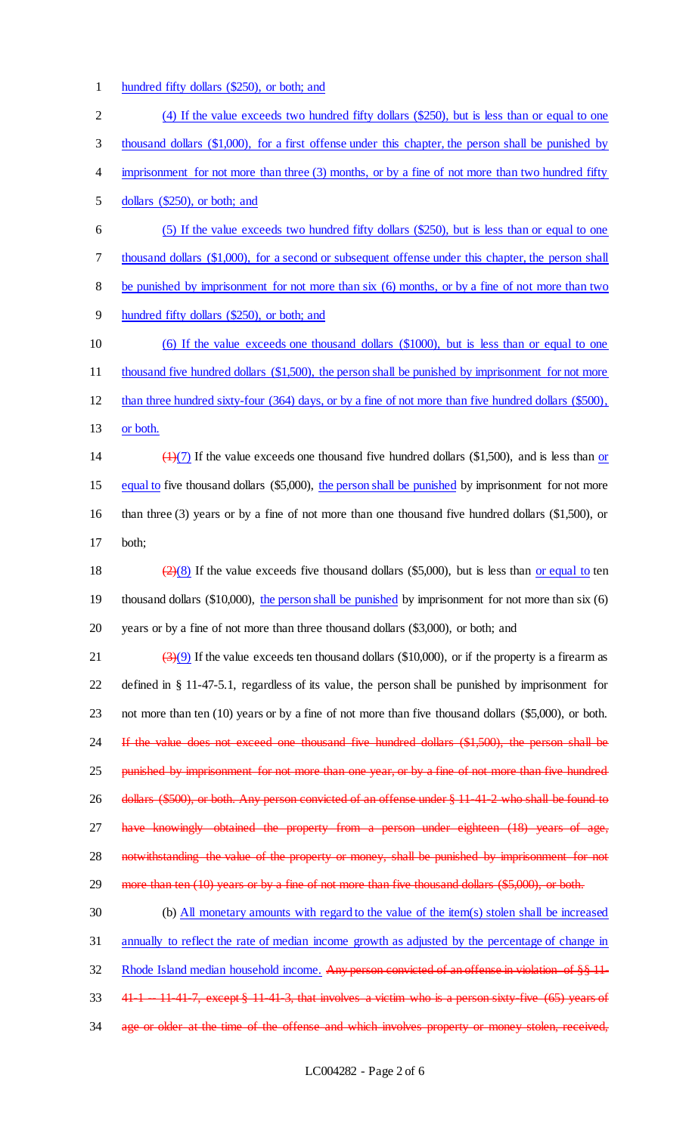1 hundred fifty dollars (\$250), or both; and

| $\overline{2}$ | (4) If the value exceeds two hundred fifty dollars (\$250), but is less than or equal to one                                      |
|----------------|-----------------------------------------------------------------------------------------------------------------------------------|
| 3              | thousand dollars (\$1,000), for a first offense under this chapter, the person shall be punished by                               |
| 4              | imprisonment for not more than three (3) months, or by a fine of not more than two hundred fifty                                  |
| 5              | dollars $(\$250)$ , or both; and                                                                                                  |
| 6              | (5) If the value exceeds two hundred fifty dollars (\$250), but is less than or equal to one                                      |
| $\tau$         | thousand dollars (\$1,000), for a second or subsequent offense under this chapter, the person shall                               |
| $8\,$          | be punished by imprisonment for not more than six (6) months, or by a fine of not more than two                                   |
| $\overline{9}$ | hundred fifty dollars (\$250), or both; and                                                                                       |
| 10             | (6) If the value exceeds one thousand dollars (\$1000), but is less than or equal to one                                          |
| 11             | thousand five hundred dollars (\$1,500), the person shall be punished by imprisonment for not more                                |
| 12             | than three hundred sixty-four (364) days, or by a fine of not more than five hundred dollars (\$500),                             |
| 13             | or both.                                                                                                                          |
| 14             | $\left(\frac{1}{2}\right)$ If the value exceeds one thousand five hundred dollars (\$1,500), and is less than or                  |
| 15             | equal to five thousand dollars (\$5,000), the person shall be punished by imprisonment for not more                               |
| 16             | than three $(3)$ years or by a fine of not more than one thousand five hundred dollars $(1,500)$ , or                             |
| 17             | both;                                                                                                                             |
| 18             | $\left(\frac{2}{2}\right)\left(8\right)$ If the value exceeds five thousand dollars (\$5,000), but is less than or equal to ten   |
| 19             | thousand dollars $(\$10,000)$ , the person shall be punished by imprisonment for not more than six $(6)$                          |
| 20             | years or by a fine of not more than three thousand dollars (\$3,000), or both; and                                                |
| 21             | $\left(\frac{3}{2}\right)\left(9\right)$ If the value exceeds ten thousand dollars (\$10,000), or if the property is a firearm as |
| 22             | defined in $\S$ 11-47-5.1, regardless of its value, the person shall be punished by imprisonment for                              |
| 23             | not more than ten (10) years or by a fine of not more than five thousand dollars (\$5,000), or both.                              |
| 24             | If the value does not exceed one thousand five hundred dollars (\$1,500), the person shall be                                     |
| 25             | punished by imprisonment for not more than one year, or by a fine of not more than five hundred                                   |
| 26             | dollars (\$500), or both. Any person convicted of an offense under § 11-41-2 who shall be found to                                |
| 27             | have knowingly obtained the property from a person under eighteen (18) years of age,                                              |
| 28             | notwithstanding the value of the property or money, shall be punished by imprisonment for not                                     |
| 29             | more than ten (10) years or by a fine of not more than five thousand dollars (\$5,000), or both.                                  |
| 30             | (b) All monetary amounts with regard to the value of the item(s) stolen shall be increased                                        |
| 31             | annually to reflect the rate of median income growth as adjusted by the percentage of change in                                   |
| 32             | Rhode Island median household income. Any person convicted of an offense in violation of §§ 11-                                   |
| 33             | 41 1 - 11 41 7, except § 11 41 3, that involves a victim who is a person sixty five (65) years of                                 |
| 34             | age or older at the time of the offense and which involves property or money stolen, received,                                    |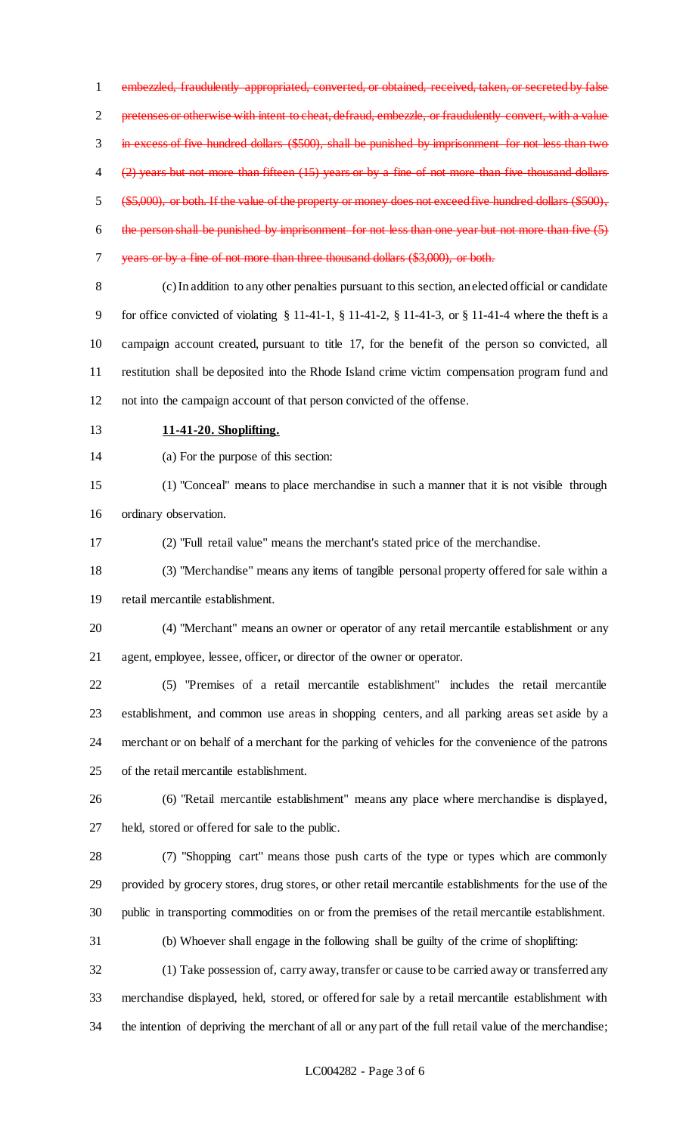embezzled, fraudulently appropriated, converted, or obtained, received, taken, or secreted by false 2 pretenses or otherwise with intent to cheat, defraud, embezzle, or fraudulently convert, with a value in excess of five hundred dollars (\$500), shall be punished by imprisonment for not less than two (2) years but not more than fifteen (15) years or by a fine of not more than five thousand dollars (\$5,000), or both. If the value of the property or money does not exceed five hundred dollars (\$500), the person shall be punished by imprisonment for not less than one year but not more than five (5) years or by a fine of not more than three thousand dollars (\$3,000), or both. (c) In addition to any other penalties pursuant to this section, an elected official or candidate

 for office convicted of violating § 11-41-1, § 11-41-2, § 11-41-3, or § 11-41-4 where the theft is a campaign account created, pursuant to title 17, for the benefit of the person so convicted, all restitution shall be deposited into the Rhode Island crime victim compensation program fund and not into the campaign account of that person convicted of the offense.

**11-41-20. Shoplifting.**

(a) For the purpose of this section:

 (1) "Conceal" means to place merchandise in such a manner that it is not visible through ordinary observation.

(2) "Full retail value" means the merchant's stated price of the merchandise.

 (3) "Merchandise" means any items of tangible personal property offered for sale within a retail mercantile establishment.

 (4) "Merchant" means an owner or operator of any retail mercantile establishment or any agent, employee, lessee, officer, or director of the owner or operator.

 (5) "Premises of a retail mercantile establishment" includes the retail mercantile establishment, and common use areas in shopping centers, and all parking areas set aside by a merchant or on behalf of a merchant for the parking of vehicles for the convenience of the patrons of the retail mercantile establishment.

 (6) "Retail mercantile establishment" means any place where merchandise is displayed, held, stored or offered for sale to the public.

 (7) "Shopping cart" means those push carts of the type or types which are commonly provided by grocery stores, drug stores, or other retail mercantile establishments for the use of the public in transporting commodities on or from the premises of the retail mercantile establishment.

(b) Whoever shall engage in the following shall be guilty of the crime of shoplifting:

(1) Take possession of, carry away, transfer or cause to be carried away or transferred any

 merchandise displayed, held, stored, or offered for sale by a retail mercantile establishment with the intention of depriving the merchant of all or any part of the full retail value of the merchandise;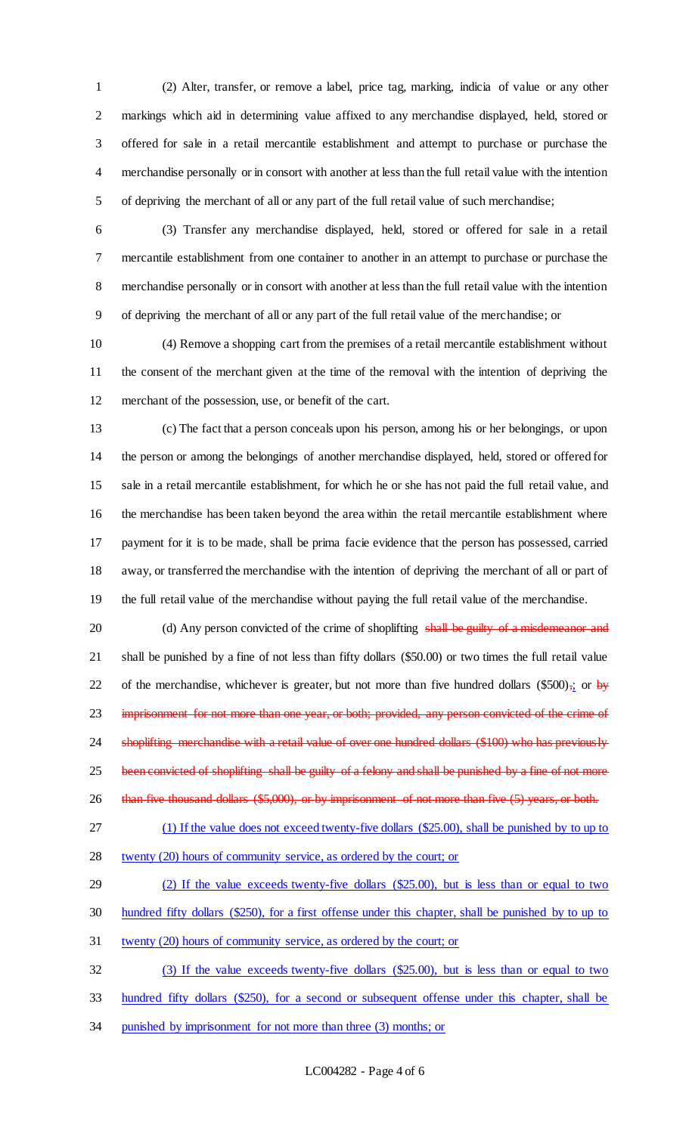(2) Alter, transfer, or remove a label, price tag, marking, indicia of value or any other markings which aid in determining value affixed to any merchandise displayed, held, stored or offered for sale in a retail mercantile establishment and attempt to purchase or purchase the merchandise personally or in consort with another at less than the full retail value with the intention of depriving the merchant of all or any part of the full retail value of such merchandise;

 (3) Transfer any merchandise displayed, held, stored or offered for sale in a retail mercantile establishment from one container to another in an attempt to purchase or purchase the merchandise personally or in consort with another at less than the full retail value with the intention of depriving the merchant of all or any part of the full retail value of the merchandise; or

 (4) Remove a shopping cart from the premises of a retail mercantile establishment without the consent of the merchant given at the time of the removal with the intention of depriving the merchant of the possession, use, or benefit of the cart.

 (c) The fact that a person conceals upon his person, among his or her belongings, or upon the person or among the belongings of another merchandise displayed, held, stored or offered for sale in a retail mercantile establishment, for which he or she has not paid the full retail value, and the merchandise has been taken beyond the area within the retail mercantile establishment where payment for it is to be made, shall be prima facie evidence that the person has possessed, carried away, or transferred the merchandise with the intention of depriving the merchant of all or part of the full retail value of the merchandise without paying the full retail value of the merchandise.

20 (d) Any person convicted of the crime of shoplifting shall be guilty of a misdemeanor and shall be punished by a fine of not less than fifty dollars (\$50.00) or two times the full retail value 22 of the merchandise, whichever is greater, but not more than five hundred dollars (\$500) $\frac{1}{2}$  or by 23 imprisonment for not more than one year, or both; provided, any person convicted of the crime of 24 shoplifting merchandise with a retail value of over one hundred dollars (\$100) who has previously 25 been convicted of shoplifting shall be guilty of a felony and shall be punished by a fine of not more than five thousand dollars (\$5,000), or by imprisonment of not more than five (5) years, or both.

- (1) If the value does not exceed twenty-five dollars (\$25.00), shall be punished by to up to
- twenty (20) hours of community service, as ordered by the court; or
- (2) If the value exceeds twenty-five dollars (\$25.00), but is less than or equal to two

hundred fifty dollars (\$250), for a first offense under this chapter, shall be punished by to up to

twenty (20) hours of community service, as ordered by the court; or

(3) If the value exceeds twenty-five dollars (\$25.00), but is less than or equal to two

- hundred fifty dollars (\$250), for a second or subsequent offense under this chapter, shall be
- punished by imprisonment for not more than three (3) months; or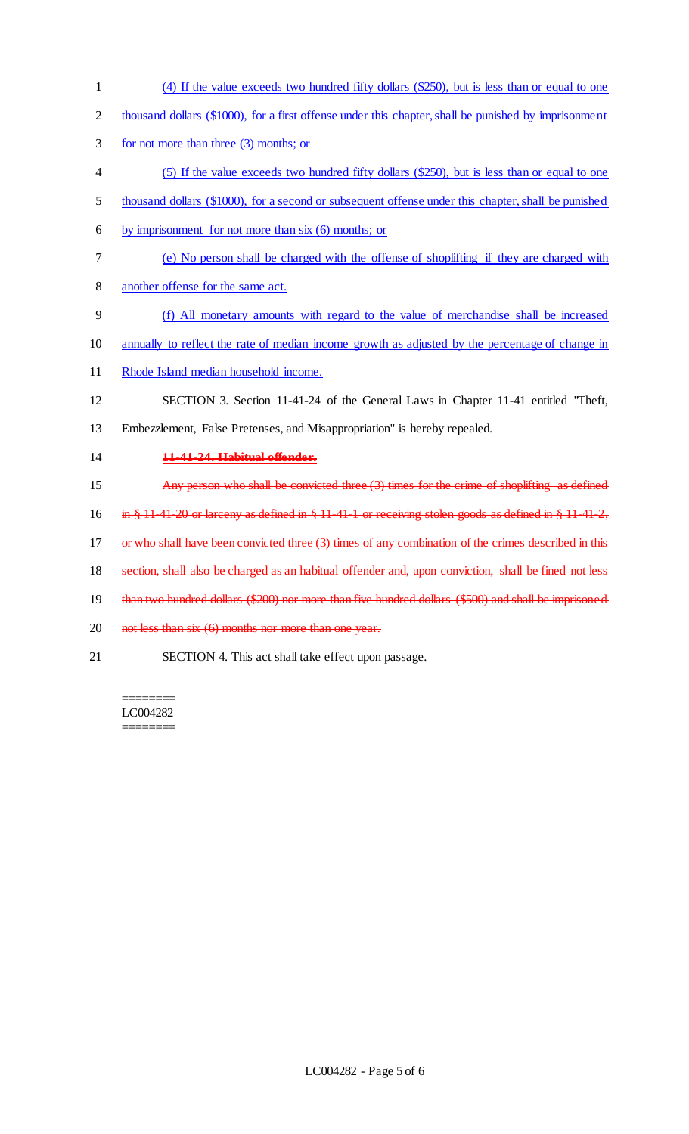- (4) If the value exceeds two hundred fifty dollars (\$250), but is less than or equal to one 2 thousand dollars (\$1000), for a first offense under this chapter, shall be punished by imprisonment for not more than three (3) months; or (5) If the value exceeds two hundred fifty dollars (\$250), but is less than or equal to one thousand dollars (\$1000), for a second or subsequent offense under this chapter, shall be punished by imprisonment for not more than six (6) months; or (e) No person shall be charged with the offense of shoplifting if they are charged with another offense for the same act. (f) All monetary amounts with regard to the value of merchandise shall be increased annually to reflect the rate of median income growth as adjusted by the percentage of change in Rhode Island median household income. SECTION 3. Section 11-41-24 of the General Laws in Chapter 11-41 entitled "Theft, Embezzlement, False Pretenses, and Misappropriation" is hereby repealed. **11-41-24. Habitual offender.** 15 Any person who shall be convicted three (3) times for the crime of shoplifting as defined in § 11-41-20 or larceny as defined in § 11-41-1 or receiving stolen goods as defined in § 11-41-2, 17 or who shall have been convicted three (3) times of any combination of the crimes described in this section, shall also be charged as an habitual offender and, upon conviction, shall be fined not less than two hundred dollars (\$200) nor more than five hundred dollars (\$500) and shall be imprisoned 20 not less than six (6) months nor more than one year.
- SECTION 4. This act shall take effect upon passage.

======== LC004282 ========